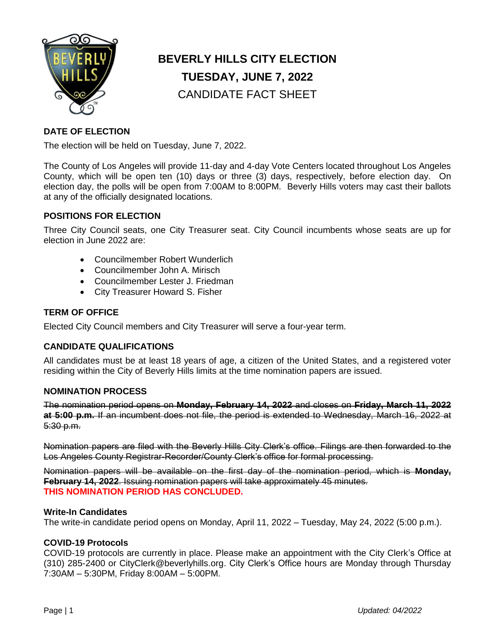

# **BEVERLY HILLS CITY ELECTION TUESDAY, JUNE 7, 2022** CANDIDATE FACT SHEET

# **DATE OF ELECTION**

The election will be held on Tuesday, June 7, 2022.

The County of Los Angeles will provide 11-day and 4-day Vote Centers located throughout Los Angeles County, which will be open ten (10) days or three (3) days, respectively, before election day. On election day, the polls will be open from 7:00AM to 8:00PM. Beverly Hills voters may cast their ballots at any of the officially designated locations.

## **POSITIONS FOR ELECTION**

Three City Council seats, one City Treasurer seat. City Council incumbents whose seats are up for election in June 2022 are:

- Councilmember Robert Wunderlich
- Councilmember John A. Mirisch
- Councilmember Lester J. Friedman
- City Treasurer Howard S. Fisher

## **TERM OF OFFICE**

Elected City Council members and City Treasurer will serve a four-year term.

## **CANDIDATE QUALIFICATIONS**

All candidates must be at least 18 years of age, a citizen of the United States, and a registered voter residing within the City of Beverly Hills limits at the time nomination papers are issued.

## **NOMINATION PROCESS**

The nomination period opens on **Monday, February 14, 2022** and closes on **Friday, March 11, 2022 at 5:00 p.m.** If an incumbent does not file, the period is extended to Wednesday, March 16, 2022 at 5:30 p.m.

Nomination papers are filed with the Beverly Hills City Clerk's office. Filings are then forwarded to the Los Angeles County Registrar-Recorder/County Clerk's office for formal processing.

Nomination papers will be available on the first day of the nomination period, which is **Monday, February 14, 2022**. Issuing nomination papers will take approximately 45 minutes. **THIS NOMINATION PERIOD HAS CONCLUDED.** 

#### **Write-In Candidates**

The write-in candidate period opens on Monday, April 11, 2022 – Tuesday, May 24, 2022 (5:00 p.m.).

## **COVID-19 Protocols**

COVID-19 protocols are currently in place. Please make an appointment with the City Clerk's Office at (310) 285-2400 or CityClerk@beverlyhills.org. City Clerk's Office hours are Monday through Thursday 7:30AM – 5:30PM, Friday 8:00AM – 5:00PM.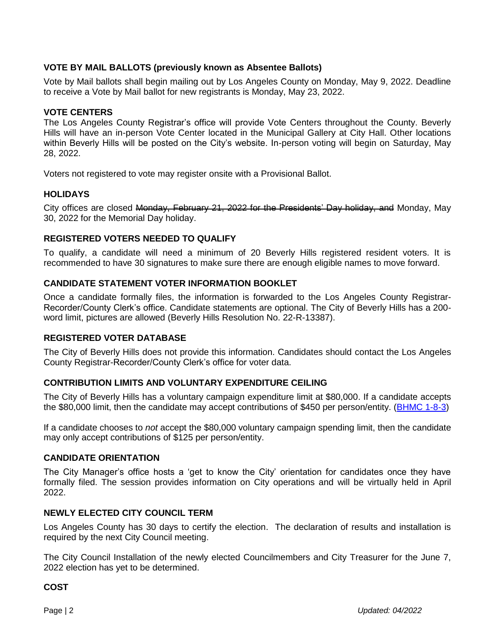## **VOTE BY MAIL BALLOTS (previously known as Absentee Ballots)**

Vote by Mail ballots shall begin mailing out by Los Angeles County on Monday, May 9, 2022. Deadline to receive a Vote by Mail ballot for new registrants is Monday, May 23, 2022.

## **VOTE CENTERS**

The Los Angeles County Registrar's office will provide Vote Centers throughout the County. Beverly Hills will have an in-person Vote Center located in the Municipal Gallery at City Hall. Other locations within Beverly Hills will be posted on the City's website. In-person voting will begin on Saturday, May 28, 2022.

Voters not registered to vote may register onsite with a Provisional Ballot.

## **HOLIDAYS**

City offices are closed Monday, February 21, 2022 for the Presidents' Day holiday, and Monday, May 30, 2022 for the Memorial Day holiday.

## **REGISTERED VOTERS NEEDED TO QUALIFY**

To qualify, a candidate will need a minimum of 20 Beverly Hills registered resident voters. It is recommended to have 30 signatures to make sure there are enough eligible names to move forward.

## **CANDIDATE STATEMENT VOTER INFORMATION BOOKLET**

Once a candidate formally files, the information is forwarded to the Los Angeles County Registrar-Recorder/County Clerk's office. Candidate statements are optional. The City of Beverly Hills has a 200 word limit, pictures are allowed (Beverly Hills Resolution No. 22-R-13387).

## **REGISTERED VOTER DATABASE**

The City of Beverly Hills does not provide this information. Candidates should contact the Los Angeles County Registrar-Recorder/County Clerk's office for voter data.

## **CONTRIBUTION LIMITS AND VOLUNTARY EXPENDITURE CEILING**

The City of Beverly Hills has a voluntary campaign expenditure limit at \$80,000. If a candidate accepts the \$80,000 limit, then the candidate may accept contributions of \$450 per person/entity. [\(BHMC 1-8-3\)](http://www.fppc.ca.gov/content/dam/fppc/NS-Documents/TAD/Campaign%20Ordinances/Cities/R_Beverly_Hills.pdf)

If a candidate chooses to *not* accept the \$80,000 voluntary campaign spending limit, then the candidate may only accept contributions of \$125 per person/entity.

## **CANDIDATE ORIENTATION**

The City Manager's office hosts a 'get to know the City' orientation for candidates once they have formally filed. The session provides information on City operations and will be virtually held in April 2022.

#### **NEWLY ELECTED CITY COUNCIL TERM**

Los Angeles County has 30 days to certify the election. The declaration of results and installation is required by the next City Council meeting.

The City Council Installation of the newly elected Councilmembers and City Treasurer for the June 7, 2022 election has yet to be determined.

#### **COST**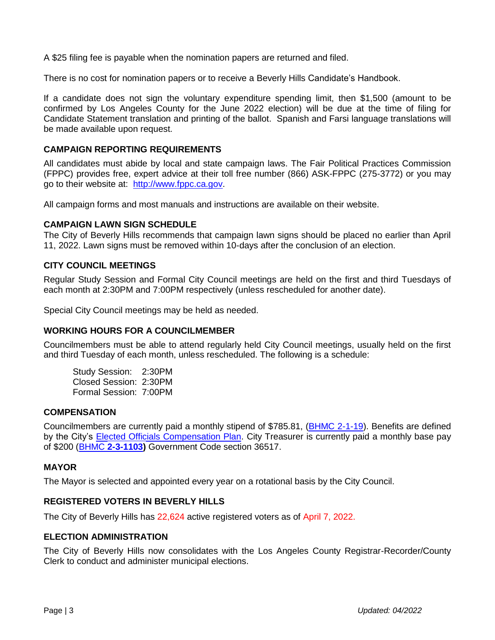A \$25 filing fee is payable when the nomination papers are returned and filed.

There is no cost for nomination papers or to receive a Beverly Hills Candidate's Handbook.

If a candidate does not sign the voluntary expenditure spending limit, then \$1,500 (amount to be confirmed by Los Angeles County for the June 2022 election) will be due at the time of filing for Candidate Statement translation and printing of the ballot. Spanish and Farsi language translations will be made available upon request.

## **CAMPAIGN REPORTING REQUIREMENTS**

All candidates must abide by local and state campaign laws. The Fair Political Practices Commission (FPPC) provides free, expert advice at their toll free number (866) ASK-FPPC (275-3772) or you may go to their website at: [http://www.fppc.ca.gov.](http://www.fppc.ca.gov/)

All campaign forms and most manuals and instructions are available on their website.

#### **CAMPAIGN LAWN SIGN SCHEDULE**

The City of Beverly Hills recommends that campaign lawn signs should be placed no earlier than April 11, 2022. Lawn signs must be removed within 10-days after the conclusion of an election.

## **CITY COUNCIL MEETINGS**

Regular Study Session and Formal City Council meetings are held on the first and third Tuesdays of each month at 2:30PM and 7:00PM respectively (unless rescheduled for another date).

Special City Council meetings may be held as needed.

#### **WORKING HOURS FOR A COUNCILMEMBER**

Councilmembers must be able to attend regularly held City Council meetings, usually held on the first and third Tuesday of each month, unless rescheduled. The following is a schedule:

Study Session: 2:30PM Closed Session: 2:30PM Formal Session: 7:00PM

#### **COMPENSATION**

Councilmembers are currently paid a monthly stipend of \$785.81, (**BHMC 2-1-19**). Benefits are defined by the City's [Elected Officials Compensation Plan.](https://www.beverlyhills.org/cbhfiles/storage/files/1359965796781397349/CouncilCompensation.pdf) City Treasurer is currently paid a monthly base pay of \$200 (BHMC **[2-3-1103\)](https://codelibrary.amlegal.com/codes/beverlyhillsca/latest/beverlyhills_ca/0-0-0-1216)** Government Code section 36517.

#### **MAYOR**

The Mayor is selected and appointed every year on a rotational basis by the City Council.

#### **REGISTERED VOTERS IN BEVERLY HILLS**

The City of Beverly Hills has 22,624 active registered voters as of April 7, 2022.

#### **ELECTION ADMINISTRATION**

The City of Beverly Hills now consolidates with the Los Angeles County Registrar-Recorder/County Clerk to conduct and administer municipal elections.